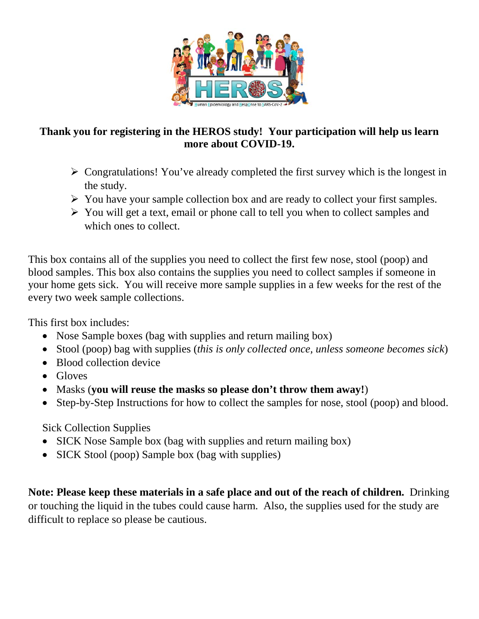

## **Thank you for registering in the HEROS study! Your participation will help us learn more about COVID-19.**

- $\triangleright$  Congratulations! You've already completed the first survey which is the longest in the study.
- $\triangleright$  You have your sample collection box and are ready to collect your first samples.
- $\triangleright$  You will get a text, email or phone call to tell you when to collect samples and which ones to collect.

This box contains all of the supplies you need to collect the first few nose, stool (poop) and blood samples. This box also contains the supplies you need to collect samples if someone in your home gets sick. You will receive more sample supplies in a few weeks for the rest of the every two week sample collections.

This first box includes:

- Nose Sample boxes (bag with supplies and return mailing box)
- Stool (poop) bag with supplies (*this is only collected once, unless someone becomes sick*)
- Blood collection device
- Gloves
- Masks (**you will reuse the masks so please don't throw them away!**)
- Step-by-Step Instructions for how to collect the samples for nose, stool (poop) and blood.

Sick Collection Supplies

- SICK Nose Sample box (bag with supplies and return mailing box)
- SICK Stool (poop) Sample box (bag with supplies)

**Note: Please keep these materials in a safe place and out of the reach of children.** Drinking or touching the liquid in the tubes could cause harm. Also, the supplies used for the study are difficult to replace so please be cautious.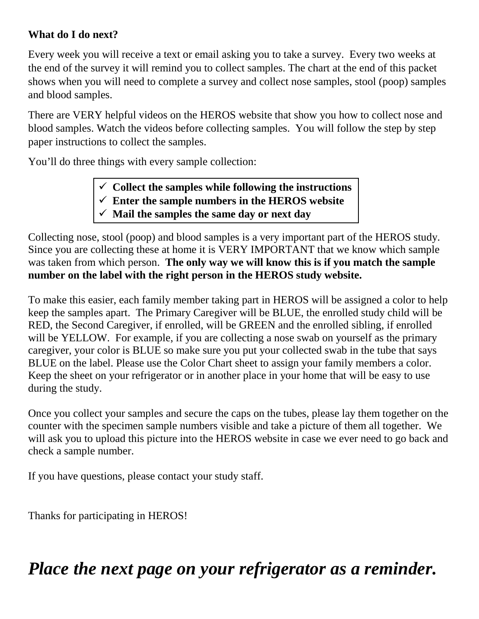## **What do I do next?**

Every week you will receive a text or email asking you to take a survey. Every two weeks at the end of the survey it will remind you to collect samples. The chart at the end of this packet shows when you will need to complete a survey and collect nose samples, stool (poop) samples and blood samples.

There are VERY helpful videos on the HEROS website that show you how to collect nose and blood samples. Watch the videos before collecting samples. You will follow the step by step paper instructions to collect the samples.

You'll do three things with every sample collection:

- $\checkmark$  Collect the samples while following the instructions
- **Enter the sample numbers in the HEROS website**
- **Mail the samples the same day or next day**

Collecting nose, stool (poop) and blood samples is a very important part of the HEROS study. Since you are collecting these at home it is VERY IMPORTANT that we know which sample was taken from which person. **The only way we will know this is if you match the sample number on the label with the right person in the HEROS study website.** 

To make this easier, each family member taking part in HEROS will be assigned a color to help keep the samples apart. The Primary Caregiver will be BLUE, the enrolled study child will be RED, the Second Caregiver, if enrolled, will be GREEN and the enrolled sibling, if enrolled will be YELLOW. For example, if you are collecting a nose swab on yourself as the primary caregiver, your color is BLUE so make sure you put your collected swab in the tube that says BLUE on the label. Please use the Color Chart sheet to assign your family members a color. Keep the sheet on your refrigerator or in another place in your home that will be easy to use during the study.

Once you collect your samples and secure the caps on the tubes, please lay them together on the counter with the specimen sample numbers visible and take a picture of them all together. We will ask you to upload this picture into the HEROS website in case we ever need to go back and check a sample number.

If you have questions, please contact your study staff.

Thanks for participating in HEROS!

*Place the next page on your refrigerator as a reminder.*